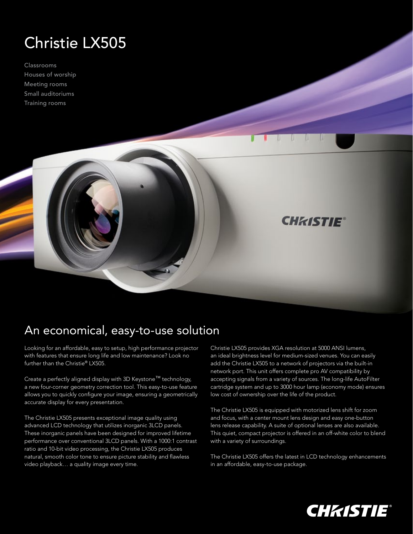## Christie LX505

Classrooms Houses of worship Meeting rooms Small auditoriums Training rooms



Looking for an affordable, easy to setup, high performance projector with features that ensure long life and low maintenance? Look no further than the Christie® LX505.

Create a perfectly aligned display with 3D Keystone™ technology, a new four-corner geometry correction tool. This easy-to-use feature allows you to quickly configure your image, ensuring a geometrically accurate display for every presentation.

The Christie LX505 presents exceptional image quality using advanced LCD technology that utilizes inorganic 3LCD panels. These inorganic panels have been designed for improved lifetime performance over conventional 3LCD panels. With a 1000:1 contrast ratio and 10-bit video processing, the Christie LX505 produces natural, smooth color tone to ensure picture stability and flawless video playback… a quality image every time.

Christie LX505 provides XGA resolution at 5000 ANSI lumens, an ideal brightness level for medium-sized venues. You can easily add the Christie LX505 to a network of projectors via the built-in network port. This unit offers complete pro AV compatibility by accepting signals from a variety of sources. The long-life AutoFilter cartridge system and up to 3000 hour lamp (economy mode) ensures low cost of ownership over the life of the product.

**CHKISTIE®** 

The Christie LX505 is equipped with motorized lens shift for zoom and focus, with a center mount lens design and easy one-button lens release capability. A suite of optional lenses are also available. This quiet, compact projector is offered in an off-white color to blend with a variety of surroundings.

The Christie LX505 offers the latest in LCD technology enhancements in an affordable, easy-to-use package.